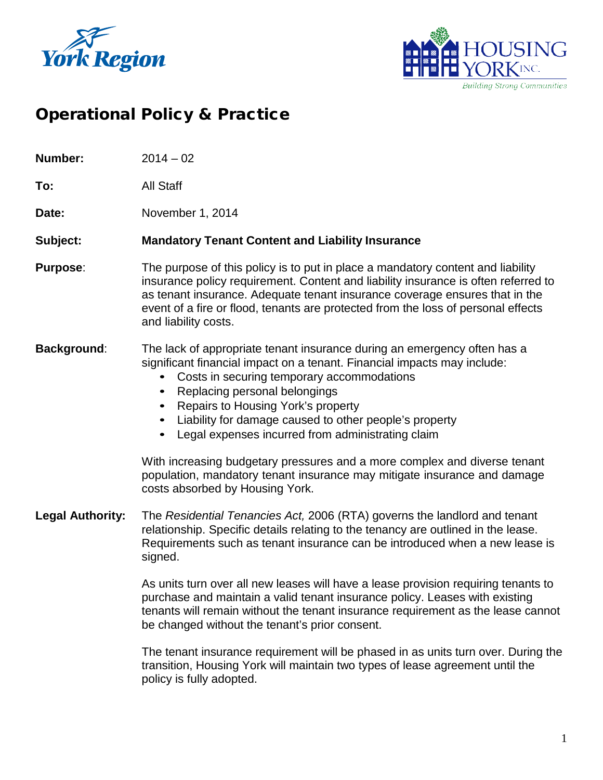



# Operational Policy & Practice

**Number:** 2014 – 02

**To:** All Staff

Date: November 1, 2014

#### **Subject: Mandatory Tenant Content and Liability Insurance**

**Purpose**: The purpose of this policy is to put in place a mandatory content and liability insurance policy requirement. Content and liability insurance is often referred to as tenant insurance. Adequate tenant insurance coverage ensures that in the event of a fire or flood, tenants are protected from the loss of personal effects and liability costs.

#### **Background**: The lack of appropriate tenant insurance during an emergency often has a significant financial impact on a tenant. Financial impacts may include:

- Costs in securing temporary accommodations
- Replacing personal belongings
- Repairs to Housing York's property
- Liability for damage caused to other people's property
- Legal expenses incurred from administrating claim

With increasing budgetary pressures and a more complex and diverse tenant population, mandatory tenant insurance may mitigate insurance and damage costs absorbed by Housing York.

**Legal Authority:** The *Residential Tenancies Act,* 2006 (RTA) governs the landlord and tenant relationship. Specific details relating to the tenancy are outlined in the lease. Requirements such as tenant insurance can be introduced when a new lease is signed.

> As units turn over all new leases will have a lease provision requiring tenants to purchase and maintain a valid tenant insurance policy. Leases with existing tenants will remain without the tenant insurance requirement as the lease cannot be changed without the tenant's prior consent.

> The tenant insurance requirement will be phased in as units turn over. During the transition, Housing York will maintain two types of lease agreement until the policy is fully adopted.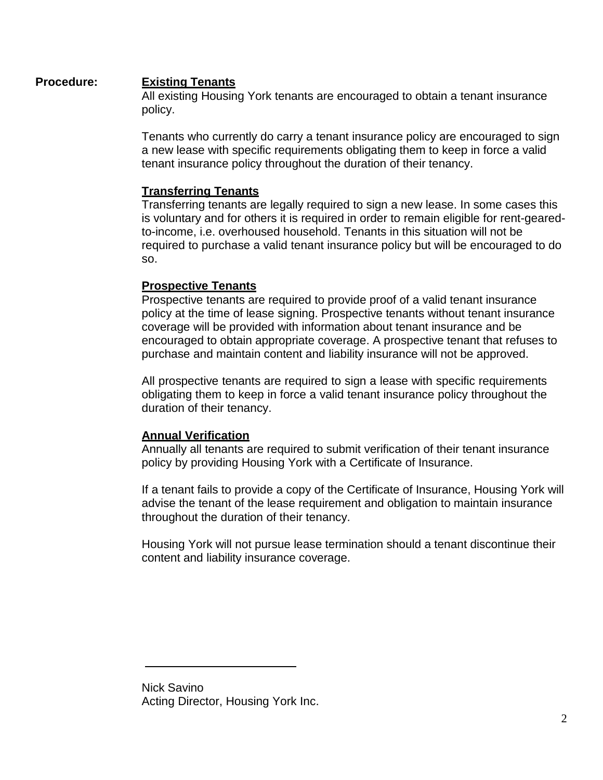## **Procedure: Existing Tenants**

All existing Housing York tenants are encouraged to obtain a tenant insurance policy.

Tenants who currently do carry a tenant insurance policy are encouraged to sign a new lease with specific requirements obligating them to keep in force a valid tenant insurance policy throughout the duration of their tenancy.

## **Transferring Tenants**

Transferring tenants are legally required to sign a new lease. In some cases this is voluntary and for others it is required in order to remain eligible for rent-gearedto-income, i.e. overhoused household. Tenants in this situation will not be required to purchase a valid tenant insurance policy but will be encouraged to do so.

## **Prospective Tenants**

Prospective tenants are required to provide proof of a valid tenant insurance policy at the time of lease signing. Prospective tenants without tenant insurance coverage will be provided with information about tenant insurance and be encouraged to obtain appropriate coverage. A prospective tenant that refuses to purchase and maintain content and liability insurance will not be approved.

All prospective tenants are required to sign a lease with specific requirements obligating them to keep in force a valid tenant insurance policy throughout the duration of their tenancy.

## **Annual Verification**

Annually all tenants are required to submit verification of their tenant insurance policy by providing Housing York with a Certificate of Insurance.

If a tenant fails to provide a copy of the Certificate of Insurance, Housing York will advise the tenant of the lease requirement and obligation to maintain insurance throughout the duration of their tenancy.

Housing York will not pursue lease termination should a tenant discontinue their content and liability insurance coverage.

Nick Savino Acting Director, Housing York Inc.